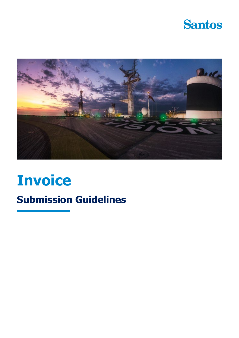



# **Invoice**

## **Submission Guidelines**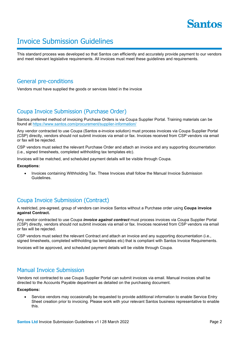

## Invoice Submission Guidelines

This standard process was developed so that Santos can efficiently and accurately provide payment to our vendors and meet relevant legislative requirements. All invoices must meet these guidelines and requirements.

## General pre-conditions

Vendors must have supplied the goods or services listed in the invoice

## Coupa Invoice Submission (Purchase Order)

Santos preferred method of invoicing Purchase Orders is via Coupa Supplier Portal. Training materials can be found at <https://www.santos.com/procurement/supplier-information/>

Any vendor contracted to use Coupa (Santos e-invoice solution) must process invoices via Coupa Supplier Portal (CSP) directly, vendors should not submit invoices via email or fax. Invoices received from CSP vendors via email or fax will be rejected.

CSP vendors must select the relevant Purchase Order and attach an invoice and any supporting documentation (i.e., signed timesheets, completed withholding tax templates etc).

Invoices will be matched, and scheduled payment details will be visible through Coupa.

#### **Exceptions:**

• Invoices containing Withholding Tax. These Invoices shall follow the Manual Invoice Submission Guidelines.

## Coupa Invoice Submission (Contract)

A restricted, pre-agreed, group of vendors can invoice Santos without a Purchase order using **Coupa invoice against Contract.**

Any vendor contracted to use Coupa *invoice against contract* must process invoices via Coupa Supplier Portal (CSP) directly, vendors should not submit invoices via email or fax. Invoices received from CSP vendors via email or fax will be rejected.

CSP vendors must select the relevant Contract and attach an invoice and any supporting documentation (i.e., signed timesheets, completed withholding tax templates etc) that is compliant with Santos Invoice Requirements.

Invoices will be approved, and scheduled payment details will be visible through Coupa.

## Manual Invoice Submission

Vendors not contracted to use Coupa Supplier Portal can submit invoices via email. Manual invoices shall be directed to the Accounts Payable department as detailed on the purchasing document.

#### **Exceptions:**

• Service vendors may occasionally be requested to provide additional information to enable Service Entry Sheet creation prior to invoicing. Please work with your relevant Santos business representative to enable this.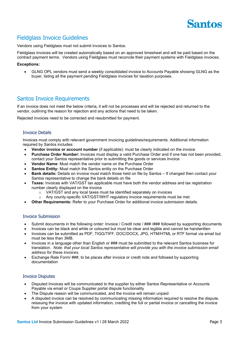

## Fieldglass Invoice Guidelines

Vendors using Fieldglass must not submit invoices to Santos.

Fieldglass invoices will be created automatically based on an approved timesheet and will be paid based on the contract payment terms. Vendors using Fieldglass must reconcile their payment systems with Fieldglass invoices.

#### **Exceptions:**

• GLNG OPL vendors must send a weekly consolidated invoice to Accounts Payable showing GLNG as the buyer, listing all the payment pending Fieldglass invoices for taxation purposes.

## Santos Invoice Requirements

If an invoice does not meet the below criteria, it will not be processes and will be rejected and returned to the vendor, outlining the reason for rejection and any actions that need to be taken.

Rejected invoices need to be corrected and resubmitted for payment.

#### Invoice Details

Invoices must comply with relevant government invoicing guidelines/requirements. Additional information required by Santos includes:

- **Vendor invoice or account number** (if applicable): must be clearly indicated on the invoice
- **Purchase Order Number:** Invoices must display a valid Purchase Order and if one has not been provided, contact your Santos representative prior to submitting the goods or services invoice
- **Vendor Name**: Must match the vendor name on the Purchase Order
- **Santos Entity:** Must match the Santos entity on the Purchase Order
- **Bank details:** Details on invoice must match those held on file by Santos If changed then contact your Santos representative to change the bank details on file
- **Taxes:** Invoices with VAT/GST tax applicable must have both the vendor address and tax registration number clearly displayed on the invoice
	- o VAT/GST and any local taxes must be identified separately on invoices
	- $\circ$  Any county-specific VAT/GST/WHT regulatory invoice requirements must be met.
- **Other Requirements:** Refer to your Purchase Order for additional invoice submission details.

#### Invoice Submission

- Submit documents in the following order: Invoice / Credit note / ### /### followed by supporting documents
- Invoices can be black and white or coloured but must be clear and legible and cannot be handwritten
- Invoices can be submitted as PDF, TIGG/TIFF, DOC/DOCX, JPG, HTM/HTML or RTF format via email but must be less than 3MB.
- Invoices in a language other than English or ### must be submitted to the relevant Santos business for translation. *Note: that your local Santos representative will provide you with the invoice submission email address for these invoices.*
- Exchange Rate Form/ ###, to be places after invoice or credit note and followed by supporting documentation

#### Invoice Disputes

- Disputed Invoices will be communicated to the supplier by either Santos Representative or Accounts Payable via email or Coupa Supplier portal dispute functionality
- The Dispute reason will be communicated, and the invoice will remain unpaid
- A disputed invoice can be resolved by communicating missing information required to resolve the dispute, reissuing the invoice with updated information, crediting the full or partial invoice or cancelling the invoice from your system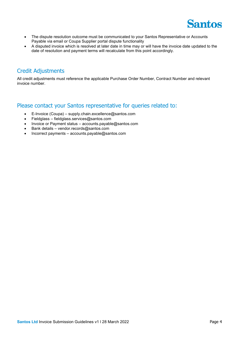

- The dispute resolution outcome must be communicated to your Santos Representative or Accounts Payable via email or Coupa Supplier portal dispute functionality
- A disputed invoice which is resolved at later date in time may or will have the invoice date updated to the date of resolution and payment terms will recalculate from this point accordingly.

## Credit Adjustments

All credit adjustments must reference the applicable Purchase Order Number, Contract Number and relevant invoice number.

## Please contact your Santos representative for queries related to:

- E-Invoice (Coupa) supply.chain.excellence@santos.com
- Fieldglass fieldglass.services@santos.com
- Invoice or Payment status accounts.payable@santos.com
- Bank details vendor.records@santos.com
- Incorrect payments accounts.payable@santos.com